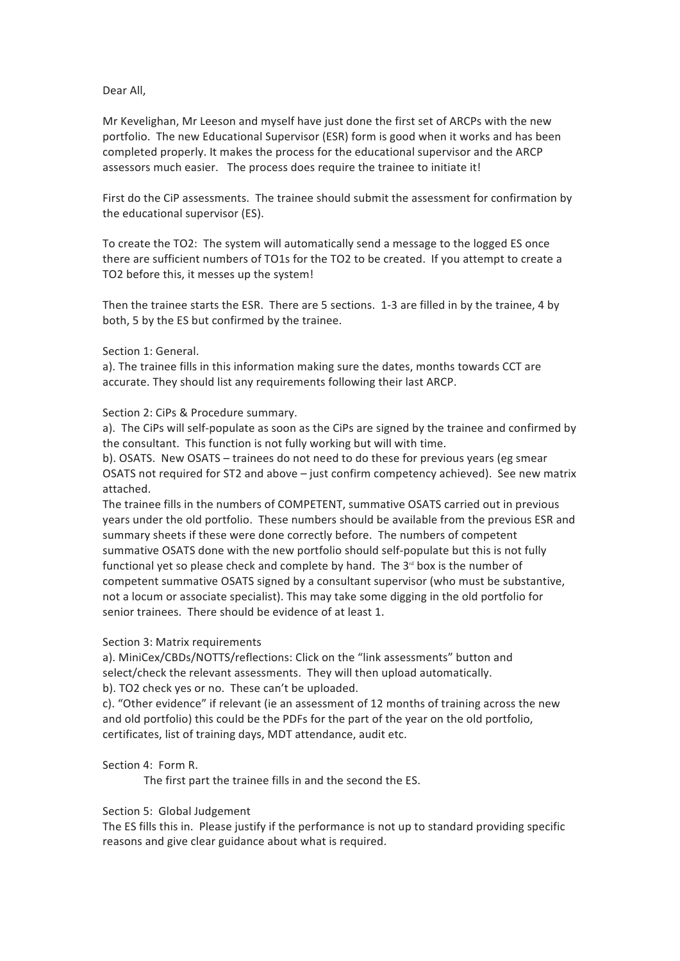## Dear All,

Mr Kevelighan, Mr Leeson and myself have just done the first set of ARCPs with the new portfolio. The new Educational Supervisor (ESR) form is good when it works and has been completed properly. It makes the process for the educational supervisor and the ARCP assessors much easier. The process does require the trainee to initiate it!

First do the CiP assessments. The trainee should submit the assessment for confirmation by the educational supervisor (ES).

To create the TO2: The system will automatically send a message to the logged ES once there are sufficient numbers of TO1s for the TO2 to be created. If you attempt to create a TO2 before this, it messes up the system!

Then the trainee starts the ESR. There are 5 sections. 1-3 are filled in by the trainee, 4 by both, 5 by the ES but confirmed by the trainee.

#### Section 1: General.

a). The trainee fills in this information making sure the dates, months towards CCT are accurate. They should list any requirements following their last ARCP.

## Section 2: CiPs & Procedure summary.

a). The CiPs will self-populate as soon as the CiPs are signed by the trainee and confirmed by the consultant. This function is not fully working but will with time.

b). OSATS. New OSATS – trainees do not need to do these for previous years (eg smear OSATS not required for ST2 and above  $-$  just confirm competency achieved). See new matrix attached.

The trainee fills in the numbers of COMPETENT, summative OSATS carried out in previous years under the old portfolio. These numbers should be available from the previous ESR and summary sheets if these were done correctly before. The numbers of competent summative OSATS done with the new portfolio should self-populate but this is not fully functional yet so please check and complete by hand. The  $3<sup>rd</sup>$  box is the number of competent summative OSATS signed by a consultant supervisor (who must be substantive, not a locum or associate specialist). This may take some digging in the old portfolio for senior trainees. There should be evidence of at least 1.

#### Section 3: Matrix requirements

a). MiniCex/CBDs/NOTTS/reflections: Click on the "link assessments" button and select/check the relevant assessments. They will then upload automatically.

b). TO2 check yes or no. These can't be uploaded.

c). "Other evidence" if relevant (ie an assessment of 12 months of training across the new and old portfolio) this could be the PDFs for the part of the year on the old portfolio, certificates, list of training days, MDT attendance, audit etc.

# Section 4: Form R.

The first part the trainee fills in and the second the ES.

#### Section 5: Global Judgement

The ES fills this in. Please justify if the performance is not up to standard providing specific reasons and give clear guidance about what is required.